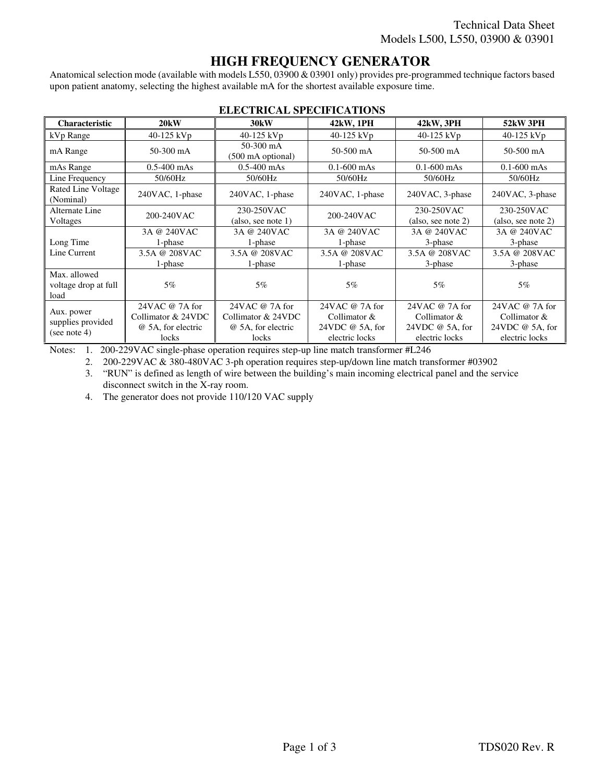# **HIGH FREQUENCY GENERATOR**

Anatomical selection mode (available with models L550, 03900 & 03901 only) provides pre-programmed technique factors based upon patient anatomy, selecting the highest available mA for the shortest available exposure time.

| ерретислен от рептентото                     |                    |                                  |                    |                                  |                                  |
|----------------------------------------------|--------------------|----------------------------------|--------------------|----------------------------------|----------------------------------|
| <b>Characteristic</b>                        | <b>20kW</b>        | <b>30kW</b>                      | 42kW, 1PH          | 42kW, 3PH                        | <b>52kW 3PH</b>                  |
| kVp Range                                    | $40-125$ kVp       | 40-125 kVp                       | $40-125$ kVp       | $40-125$ kVp                     | $40-125$ kVp                     |
| mA Range                                     | $50-300$ mA        | 50-300 mA<br>(500 mA optional)   | $50-500$ mA        | 50-500 mA                        | $50-500$ mA                      |
| mAs Range                                    | $0.5 - 400$ mAs    | $0.5 - 400$ mAs                  | $0.1 - 600$ mAs    | $0.1 - 600$ mAs                  | $0.1 - 600$ mAs                  |
| Line Frequency                               | 50/60Hz            | 50/60Hz                          | 50/60Hz            | 50/60Hz                          | 50/60Hz                          |
| Rated Line Voltage<br>(Nominal)              | 240VAC, 1-phase    | 240VAC, 1-phase                  | 240VAC, 1-phase    | 240VAC, 3-phase                  | 240VAC, 3-phase                  |
| Alternate Line<br>Voltages                   | 200-240VAC         | 230-250VAC<br>(also, see note 1) | $200-240VAC$       | 230-250VAC<br>(also, see note 2) | 230-250VAC<br>(also, see note 2) |
|                                              | 3A @ 240VAC        | 3A @ 240VAC                      | 3A @ 240VAC        | 3A @ 240VAC                      | 3A @ 240VAC                      |
| Long Time                                    | 1-phase            | 1-phase                          | 1-phase            | 3-phase                          | $3$ -phase                       |
| Line Current                                 | 3.5A @ 208VAC      | 3.5A @ 208VAC                    | 3.5A @ 208VAC      | 3.5A @ 208VAC                    | 3.5A @ 208VAC                    |
|                                              | 1-phase            | 1-phase                          | 1-phase            | 3-phase                          | 3-phase                          |
| Max. allowed<br>voltage drop at full<br>load | $5\%$              | $5\%$                            | $5\%$              | $5\%$                            | $5\%$                            |
|                                              | 24 VAC @ 7A for    | 24 VAC @ 7A for                  | 24VAC @ 7A for     | 24 VAC @ 7A for                  | 24VAC @ 7A for                   |
| Aux. power<br>supplies provided              | Collimator & 24VDC | Collimator & 24VDC               | Collimator &       | Collimator &                     | Collimator $&$                   |
|                                              | @ 5A, for electric | @ 5A, for electric               | 24 VDC $@$ 5A, for | 24VDC $@$ 5A, for                | 24 VDC $@$ 5A, for               |
| (see note 4)                                 | locks              | locks                            | electric locks     | electric locks                   | electric locks                   |

#### **ELECTRICAL SPECIFICATIONS**

Notes: 1. 200-229VAC single-phase operation requires step-up line match transformer #L246

2. 200-229VAC & 380-480VAC 3-ph operation requires step-up/down line match transformer #03902

3. "RUN" is defined as length of wire between the building's main incoming electrical panel and the service disconnect switch in the X-ray room.

4. The generator does not provide 110/120 VAC supply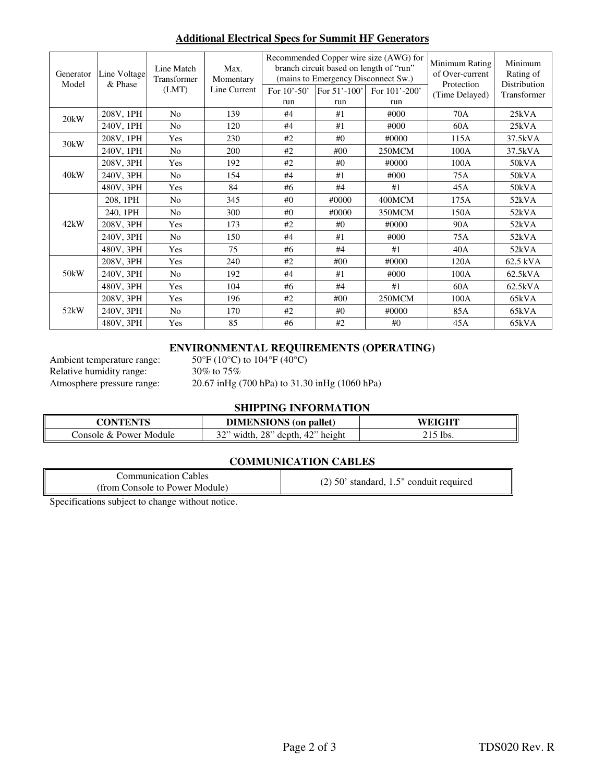| <b>Additional Electrical Specs for Summit HF Generators</b> |
|-------------------------------------------------------------|
|-------------------------------------------------------------|

| Generator<br>Model | Line Voltage<br>& Phase | Line Match<br>Transformer<br>(LMT) | Max.<br>Momentary<br>Line Current | For $10' - 50'$<br>run | branch circuit based on length of "run"<br>(mains to Emergency Disconnect Sw.)<br>For 51'-100'<br>run | Recommended Copper wire size (AWG) for<br>For 101'-200'<br>run | Minimum Rating<br>of Over-current<br>Protection<br>(Time Delayed) | Minimum<br>Rating of<br>Distribution<br>Transformer |
|--------------------|-------------------------|------------------------------------|-----------------------------------|------------------------|-------------------------------------------------------------------------------------------------------|----------------------------------------------------------------|-------------------------------------------------------------------|-----------------------------------------------------|
|                    | 208V, 1PH               | N <sub>0</sub>                     | 139                               | #4                     | #1                                                                                                    | #000                                                           | 70A                                                               | 25kVA                                               |
| 20kW               | 240V, 1PH               | N <sub>0</sub>                     | 120                               | #4                     | #1                                                                                                    | #000                                                           | 60A                                                               | 25kVA                                               |
| 30kW               | 208V, 1PH               | Yes                                | 230                               | #2                     | #0                                                                                                    | #0000                                                          | 115A                                                              | 37.5kVA                                             |
|                    | 240V, 1PH               | No                                 | 200                               | #2                     | #00                                                                                                   | 250MCM                                                         | 100A                                                              | 37.5kVA                                             |
|                    | 208V, 3PH               | Yes                                | 192                               | #2                     | #0                                                                                                    | #0000                                                          | 100A                                                              | 50kVA                                               |
| 40kW               | 240V, 3PH               | No                                 | 154                               | #4                     | #1                                                                                                    | #000                                                           | 75A                                                               | 50kVA                                               |
|                    | 480V, 3PH               | Yes                                | 84                                | #6                     | #4                                                                                                    | #1                                                             | 45A                                                               | 50kVA                                               |
|                    | 208, 1PH                | N <sub>o</sub>                     | 345                               | #0                     | #0000                                                                                                 | 400MCM                                                         | 175A                                                              | 52kVA                                               |
|                    | 240, 1PH                | No                                 | 300                               | #0                     | #0000                                                                                                 | 350MCM                                                         | 150A                                                              | 52kVA                                               |
| 42kW               | 208V, 3PH               | Yes                                | 173                               | #2                     | #()                                                                                                   | #0000                                                          | 90A                                                               | 52kVA                                               |
|                    | 240V, 3PH               | N <sub>0</sub>                     | 150                               | #4                     | #1                                                                                                    | #000                                                           | 75A                                                               | 52kVA                                               |
|                    | 480V, 3PH               | Yes                                | 75                                | #6                     | #4                                                                                                    | #1                                                             | 40A                                                               | 52kVA                                               |
|                    | 208V, 3PH               | Yes                                | 240                               | #2                     | #00                                                                                                   | #0000                                                          | 120A                                                              | 62.5 kVA                                            |
| 50 <sub>k</sub> W  | 240V, 3PH               | N <sub>0</sub>                     | 192                               | #4                     | #1                                                                                                    | #000                                                           | 100A                                                              | 62.5kVA                                             |
|                    | 480V, 3PH               | Yes                                | 104                               | #6                     | #4                                                                                                    | #1                                                             | 60A                                                               | 62.5kVA                                             |
|                    | 208V, 3PH               | Yes                                | 196                               | #2                     | #00                                                                                                   | 250MCM                                                         | 100A                                                              | 65kVA                                               |
| 52kW               | 240V, 3PH               | N <sub>o</sub>                     | 170                               | #2                     | #0                                                                                                    | #0000                                                          | 85A                                                               | 65kVA                                               |
|                    | 480V, 3PH               | Yes                                | 85                                | #6                     | #2                                                                                                    | #0                                                             | 45A                                                               | 65kVA                                               |

### **ENVIRONMENTAL REQUIREMENTS (OPERATING)**

Ambient temperature range:  $50^{\circ}F (10^{\circ}C)$  to  $104^{\circ}F (40^{\circ}C)$ Relative humidity range: 30% to 75%

Atmosphere pressure range: 20.67 inHg (700 hPa) to 31.30 inHg (1060 hPa)

## **SHIPPING INFORMATION**

| YANTENTE<br>m                        | <b>DIMENSIONS</b><br>$\sqrt{2}$ (on pallet) | енсін<br>$\overline{\phantom{a}}$<br>$\sim$ 1 |
|--------------------------------------|---------------------------------------------|-----------------------------------------------|
| console<br>Power .<br>Module<br>. oz | .42"<br>height<br>28'<br>width<br>denth     | $\bar{\Omega}$ lbs.                           |

#### **COMMUNICATION CABLES**

| Communication Cables     | 50'                                |  |
|--------------------------|------------------------------------|--|
| Console to Power Module) | $\therefore$ 1.5" conduit required |  |
| trom                     | standard.                          |  |

Specifications subject to change without notice.